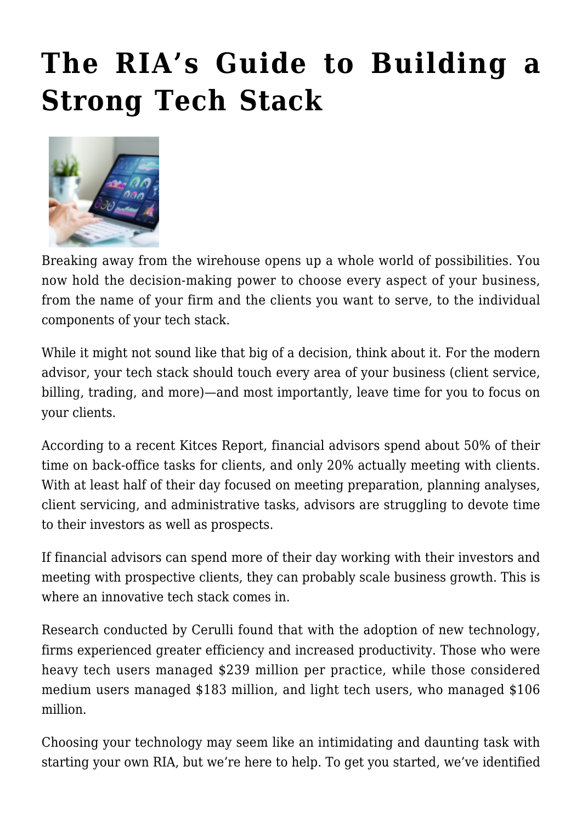# **[The RIA's Guide to Building a](https://orionadvisortech.com/blog/the-rias-guide-to-building-a-strong-tech-stack/) [Strong Tech Stack](https://orionadvisortech.com/blog/the-rias-guide-to-building-a-strong-tech-stack/)**



Breaking away from the wirehouse opens up a whole world of possibilities. You now hold the decision-making power to choose every aspect of your business, from the name of your firm and the clients you want to serve, to the individual components of your tech stack.

While it might not sound like that big of a decision, think about it. For the modern advisor, your tech stack should touch every area of your business (client service, billing, trading, and more)—and most importantly, leave time for you to focus on your clients.

According to a recent [Kitces Report,](https://www.kitces.com/blog/how-do-financial-advisors-spend-time-research-study-productivity-capacity-efficiency/) financial advisors spend about 50% of their time on back-office tasks for clients, and only 20% actually meeting with clients. With at least half of their day focused on meeting preparation, planning analyses, client servicing, and administrative tasks, advisors are struggling to devote time to their investors as well as prospects.

If financial advisors can spend more of their day working with their investors and meeting with prospective clients, they can probably scale business growth. This is where an innovative tech stack comes in.

[Research conducted by Cerulli](https://www.thinkadvisor.com/2020/10/16/how-new-tech-can-really-help-advisors-cerulli/) found that with the adoption of new technology, firms experienced greater efficiency and increased productivity. Those who were heavy tech users managed \$239 million per practice, while those considered medium users managed \$183 million, and light tech users, who managed \$106 million.

Choosing your technology may seem like an intimidating and daunting task with starting your own RIA, but we're here to help. To get you started, we've identified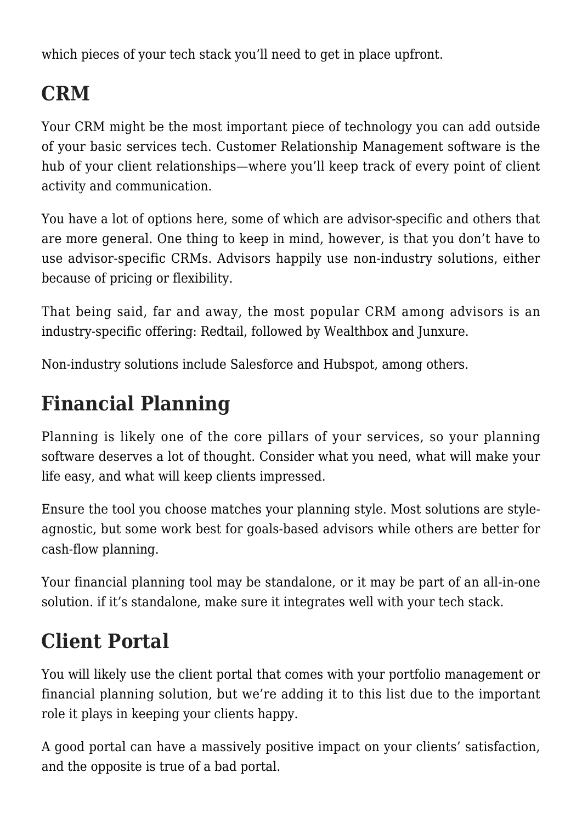which pieces of your tech stack you'll need to get in place upfront.

# **CRM**

Your CRM might be the most important piece of technology you can add outside of your basic services tech. Customer Relationship Management software is the hub of your client relationships—where you'll keep track of every point of client activity and communication.

You have a lot of options here, some of which are advisor-specific and others that are more general. One thing to keep in mind, however, is that you don't have to use advisor-specific CRMs. Advisors happily use [non-industry solutions](https://www.kitces.com/blog/shanna-tingom-heritage-financial-precise-fp-zapier-smartvestor-pro/), either because of pricing or flexibility.

That being said, far and away, the [most popular CRM among advisors](https://t3technologyhub.com/wp-content/uploads/2021/03/2021-T3_Inside-Information-Software-Survey-Report-03-22-21.pdf) is an industry-specific offering: Redtail, followed by Wealthbox and Junxure.

Non-industry solutions include Salesforce and Hubspot, among others.

#### **Financial Planning**

Planning is likely one of the core pillars of your services, so your planning software deserves a lot of thought. Consider what you need, what will make your life easy, and what will keep clients impressed.

Ensure the tool you choose matches your planning style. Most solutions are styleagnostic, but some work best for goals-based advisors while others are better for cash-flow planning.

Your financial planning tool may be standalone, or it may be part of an [all-in-one](https://orionadvisortech.com/tech-stack/) [solution.](https://orionadvisortech.com/tech-stack/) if it's standalone, make sure it integrates well with your tech stack.

#### **Client Portal**

You will likely use the client portal that comes with your portfolio management or financial planning solution, but we're adding it to this list due to the important role it plays in keeping your clients happy.

A good portal can have a massively positive impact on your clients' satisfaction, and the opposite is true of a bad portal.